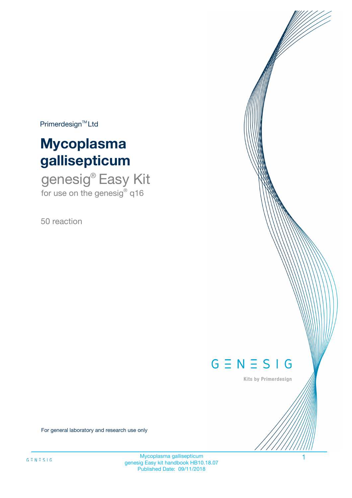$Primerdesign^{\text{TM}}Ltd$ 

# **Mycoplasma gallisepticum**

genesig® Easy Kit for use on the genesig® q16

50 reaction



Kits by Primerdesign

For general laboratory and research use only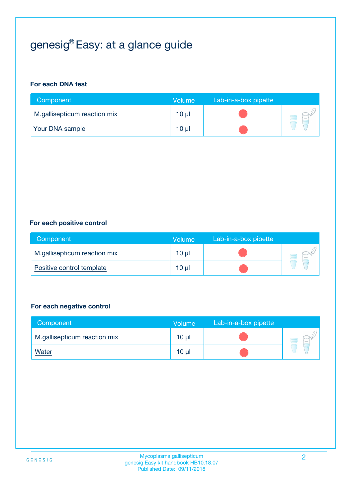# genesig® Easy: at a glance guide

#### **For each DNA test**

| Component                    | <b>Volume</b> | Lab-in-a-box pipette |  |
|------------------------------|---------------|----------------------|--|
| M.gallisepticum reaction mix | $10 \mu$      |                      |  |
| <b>Your DNA sample</b>       | 10 µl         |                      |  |

#### **For each positive control**

| Component                    | Volume          | Lab-in-a-box pipette |  |
|------------------------------|-----------------|----------------------|--|
| M.gallisepticum reaction mix | 10 <sub>µ</sub> |                      |  |
| Positive control template    | $10 \mu$        |                      |  |

#### **For each negative control**

| Component                    | Volume          | Lab-in-a-box pipette |  |
|------------------------------|-----------------|----------------------|--|
| M.gallisepticum reaction mix | $10 \mu$        |                      |  |
| <u>Water</u>                 | 10 <sub>µ</sub> |                      |  |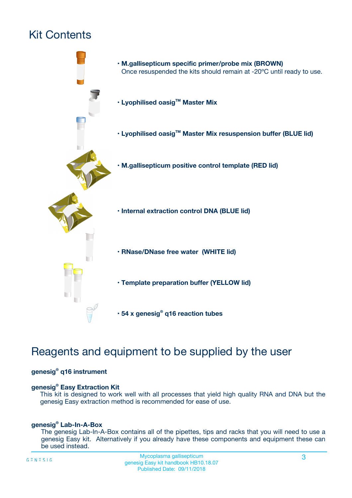# Kit Contents



## Reagents and equipment to be supplied by the user

#### **genesig® q16 instrument**

#### **genesig® Easy Extraction Kit**

This kit is designed to work well with all processes that yield high quality RNA and DNA but the genesig Easy extraction method is recommended for ease of use.

#### **genesig® Lab-In-A-Box**

The genesig Lab-In-A-Box contains all of the pipettes, tips and racks that you will need to use a genesig Easy kit. Alternatively if you already have these components and equipment these can be used instead.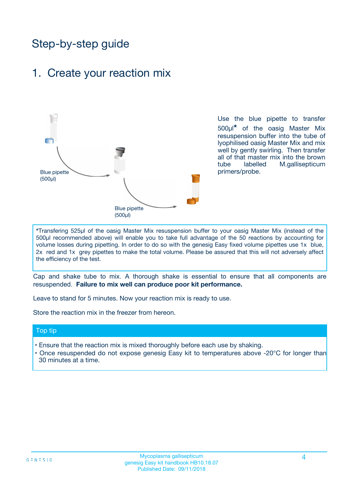## Step-by-step guide

### 1. Create your reaction mix



Use the blue pipette to transfer 500µl**\*** of the oasig Master Mix resuspension buffer into the tube of lyophilised oasig Master Mix and mix well by gently swirling. Then transfer all of that master mix into the brown tube labelled M.gallisepticum primers/probe.

**\***Transfering 525µl of the oasig Master Mix resuspension buffer to your oasig Master Mix (instead of the 500µl recommended above) will enable you to take full advantage of the 50 reactions by accounting for volume losses during pipetting. In order to do so with the genesig Easy fixed volume pipettes use 1x blue, 2x red and 1x grey pipettes to make the total volume. Please be assured that this will not adversely affect the efficiency of the test.

Cap and shake tube to mix. A thorough shake is essential to ensure that all components are resuspended. **Failure to mix well can produce poor kit performance.**

Leave to stand for 5 minutes. Now your reaction mix is ready to use.

Store the reaction mix in the freezer from hereon.

#### Top tip

- Ensure that the reaction mix is mixed thoroughly before each use by shaking.
- **•** Once resuspended do not expose genesig Easy kit to temperatures above -20°C for longer than 30 minutes at a time.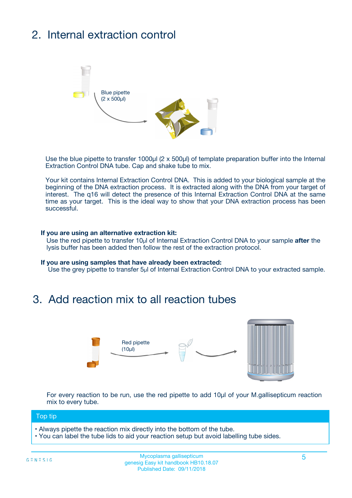# 2. Internal extraction control



Use the blue pipette to transfer 1000µl (2 x 500µl) of template preparation buffer into the Internal Extraction Control DNA tube. Cap and shake tube to mix.

Your kit contains Internal Extraction Control DNA. This is added to your biological sample at the beginning of the DNA extraction process. It is extracted along with the DNA from your target of interest. The q16 will detect the presence of this Internal Extraction Control DNA at the same time as your target. This is the ideal way to show that your DNA extraction process has been successful.

#### **If you are using an alternative extraction kit:**

Use the red pipette to transfer 10µl of Internal Extraction Control DNA to your sample **after** the lysis buffer has been added then follow the rest of the extraction protocol.

#### **If you are using samples that have already been extracted:**

Use the grey pipette to transfer 5µl of Internal Extraction Control DNA to your extracted sample.

### 3. Add reaction mix to all reaction tubes



For every reaction to be run, use the red pipette to add 10µl of your M.gallisepticum reaction mix to every tube.

#### Top tip

- Always pipette the reaction mix directly into the bottom of the tube.
- You can label the tube lids to aid your reaction setup but avoid labelling tube sides.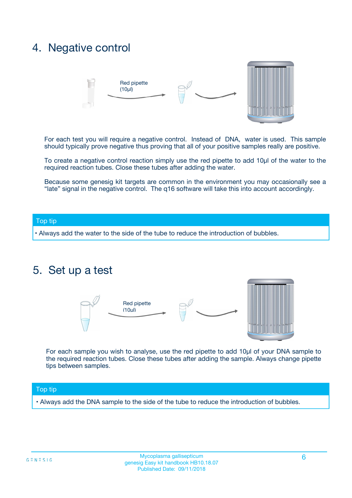### 4. Negative control



For each test you will require a negative control. Instead of DNA, water is used. This sample should typically prove negative thus proving that all of your positive samples really are positive.

To create a negative control reaction simply use the red pipette to add 10µl of the water to the required reaction tubes. Close these tubes after adding the water.

Because some genesig kit targets are common in the environment you may occasionally see a "late" signal in the negative control. The q16 software will take this into account accordingly.

#### Top tip

**•** Always add the water to the side of the tube to reduce the introduction of bubbles.

### 5. Set up a test



For each sample you wish to analyse, use the red pipette to add 10µl of your DNA sample to the required reaction tubes. Close these tubes after adding the sample. Always change pipette tips between samples.

#### Top tip

**•** Always add the DNA sample to the side of the tube to reduce the introduction of bubbles.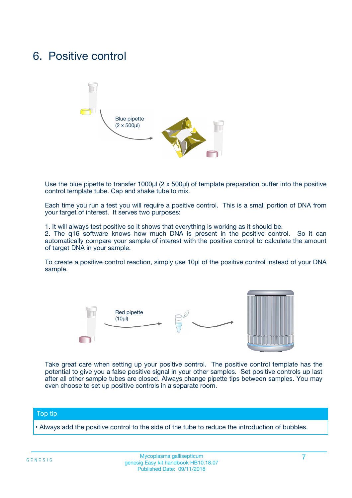### 6. Positive control



Use the blue pipette to transfer 1000µl (2 x 500µl) of template preparation buffer into the positive control template tube. Cap and shake tube to mix.

Each time you run a test you will require a positive control. This is a small portion of DNA from your target of interest. It serves two purposes:

1. It will always test positive so it shows that everything is working as it should be.

2. The q16 software knows how much DNA is present in the positive control. So it can automatically compare your sample of interest with the positive control to calculate the amount of target DNA in your sample.

To create a positive control reaction, simply use 10µl of the positive control instead of your DNA sample.



Take great care when setting up your positive control. The positive control template has the potential to give you a false positive signal in your other samples. Set positive controls up last after all other sample tubes are closed. Always change pipette tips between samples. You may even choose to set up positive controls in a separate room.

#### Top tip

**•** Always add the positive control to the side of the tube to reduce the introduction of bubbles.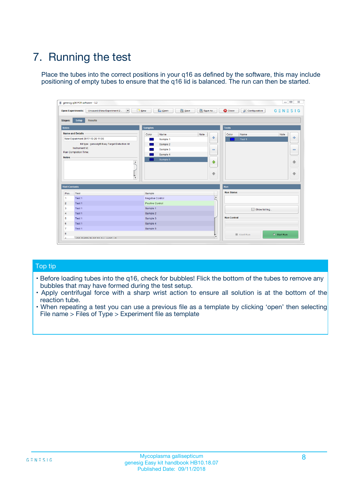# 7. Running the test

Place the tubes into the correct positions in your q16 as defined by the software, this may include positioning of empty tubes to ensure that the q16 lid is balanced. The run can then be started.

| genesig q16 PCR software - 1.2                                               |                                | $\begin{array}{c c c c} \hline \multicolumn{3}{c }{\textbf{0}} & \multicolumn{3}{c }{\textbf{0}} \end{array}$ |                              |
|------------------------------------------------------------------------------|--------------------------------|---------------------------------------------------------------------------------------------------------------|------------------------------|
| $\vert \cdot \vert$<br><b>Open Experiments:</b><br>Unsaved (New Experiment 2 | Open<br>Save<br>$\sqrt{9}$ New | Save As<br><b>C</b> Close<br>$G \equiv N \equiv S \mid G$<br><b>X</b> Configuration                           |                              |
| Setup<br><b>Results</b><br><b>Stages:</b>                                    |                                |                                                                                                               |                              |
| <b>Notes</b>                                                                 | <b>Samples</b>                 | <b>Tests</b>                                                                                                  |                              |
| <b>Name and Details</b>                                                      | Color<br>Name                  | Note<br>Color<br>Note<br>Name                                                                                 |                              |
| New Experiment 2017-10-26 11:06                                              | Sample 1                       | ÷<br>Test <sub>1</sub>                                                                                        | ÷                            |
| Kit type: genesig® Easy Target Detection kit                                 | Sample 2                       |                                                                                                               |                              |
| Instrument Id.:                                                              | Sample 3                       | $\qquad \qquad \blacksquare$                                                                                  | $\qquad \qquad \blacksquare$ |
| <b>Run Completion Time:</b>                                                  | Sample 4                       |                                                                                                               |                              |
| <b>Notes</b><br>A<br>⊺៴                                                      | Sample 5                       | $\triangle$<br>$\oplus$                                                                                       | 借<br>₩                       |
| <b>Well Contents</b>                                                         |                                | Run                                                                                                           |                              |
| Pos.<br><b>Test</b>                                                          | Sample                         | <b>Run Status</b>                                                                                             |                              |
| Test 1<br>-1                                                                 | <b>Negative Control</b>        | $\blacktriangle$                                                                                              |                              |
| $\overline{2}$<br>Test 1                                                     | <b>Positive Control</b>        |                                                                                                               |                              |
| 3<br>Test 1                                                                  | Sample 1                       | Show full log                                                                                                 |                              |
| Test 1<br>$\overline{4}$                                                     | Sample 2                       |                                                                                                               |                              |
| 5<br>Test 1                                                                  | Sample 3                       | <b>Run Control</b>                                                                                            |                              |
| Test 1<br>6                                                                  | Sample 4                       |                                                                                                               |                              |
| $\overline{7}$<br>Test 1                                                     | Sample 5                       |                                                                                                               |                              |
| 8                                                                            |                                | $\triangleright$ Start Run<br>Abort Run                                                                       |                              |
| <b>JOD FURTY TUDE TO BUILDED IN</b>                                          |                                | $\overline{\mathbf{v}}$                                                                                       |                              |

#### Top tip

- Before loading tubes into the q16, check for bubbles! Flick the bottom of the tubes to remove any bubbles that may have formed during the test setup.
- Apply centrifugal force with a sharp wrist action to ensure all solution is at the bottom of the reaction tube.
- When repeating a test you can use a previous file as a template by clicking 'open' then selecting File name > Files of Type > Experiment file as template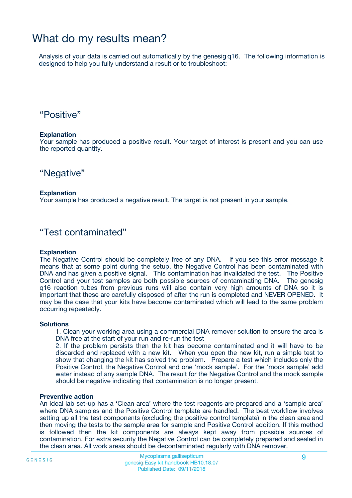## What do my results mean?

Analysis of your data is carried out automatically by the genesig q16. The following information is designed to help you fully understand a result or to troubleshoot:

### "Positive"

#### **Explanation**

Your sample has produced a positive result. Your target of interest is present and you can use the reported quantity.

"Negative"

#### **Explanation**

Your sample has produced a negative result. The target is not present in your sample.

### "Test contaminated"

#### **Explanation**

The Negative Control should be completely free of any DNA. If you see this error message it means that at some point during the setup, the Negative Control has been contaminated with DNA and has given a positive signal. This contamination has invalidated the test. The Positive Control and your test samples are both possible sources of contaminating DNA. The genesig q16 reaction tubes from previous runs will also contain very high amounts of DNA so it is important that these are carefully disposed of after the run is completed and NEVER OPENED. It may be the case that your kits have become contaminated which will lead to the same problem occurring repeatedly.

#### **Solutions**

1. Clean your working area using a commercial DNA remover solution to ensure the area is DNA free at the start of your run and re-run the test

2. If the problem persists then the kit has become contaminated and it will have to be discarded and replaced with a new kit. When you open the new kit, run a simple test to show that changing the kit has solved the problem. Prepare a test which includes only the Positive Control, the Negative Control and one 'mock sample'. For the 'mock sample' add water instead of any sample DNA. The result for the Negative Control and the mock sample should be negative indicating that contamination is no longer present.

#### **Preventive action**

An ideal lab set-up has a 'Clean area' where the test reagents are prepared and a 'sample area' where DNA samples and the Positive Control template are handled. The best workflow involves setting up all the test components (excluding the positive control template) in the clean area and then moving the tests to the sample area for sample and Positive Control addition. If this method is followed then the kit components are always kept away from possible sources of contamination. For extra security the Negative Control can be completely prepared and sealed in the clean area. All work areas should be decontaminated regularly with DNA remover.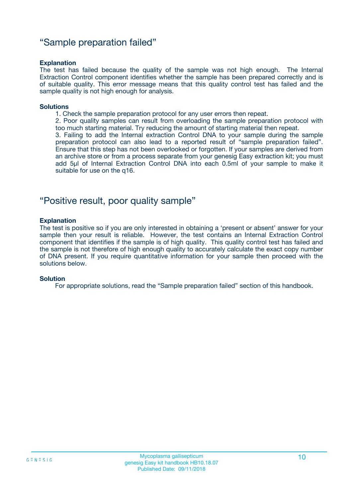### "Sample preparation failed"

#### **Explanation**

The test has failed because the quality of the sample was not high enough. The Internal Extraction Control component identifies whether the sample has been prepared correctly and is of suitable quality. This error message means that this quality control test has failed and the sample quality is not high enough for analysis.

#### **Solutions**

1. Check the sample preparation protocol for any user errors then repeat.

2. Poor quality samples can result from overloading the sample preparation protocol with too much starting material. Try reducing the amount of starting material then repeat.

3. Failing to add the Internal extraction Control DNA to your sample during the sample preparation protocol can also lead to a reported result of "sample preparation failed". Ensure that this step has not been overlooked or forgotten. If your samples are derived from an archive store or from a process separate from your genesig Easy extraction kit; you must add 5µl of Internal Extraction Control DNA into each 0.5ml of your sample to make it suitable for use on the q16.

### "Positive result, poor quality sample"

#### **Explanation**

The test is positive so if you are only interested in obtaining a 'present or absent' answer for your sample then your result is reliable. However, the test contains an Internal Extraction Control component that identifies if the sample is of high quality. This quality control test has failed and the sample is not therefore of high enough quality to accurately calculate the exact copy number of DNA present. If you require quantitative information for your sample then proceed with the solutions below.

#### **Solution**

For appropriate solutions, read the "Sample preparation failed" section of this handbook.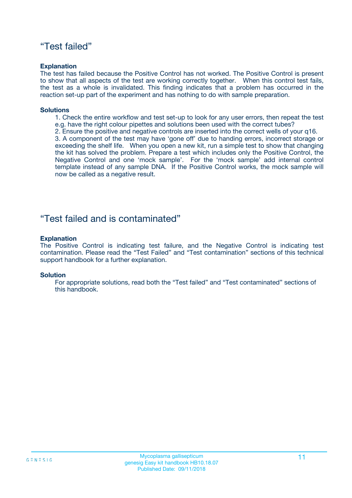### "Test failed"

#### **Explanation**

The test has failed because the Positive Control has not worked. The Positive Control is present to show that all aspects of the test are working correctly together. When this control test fails, the test as a whole is invalidated. This finding indicates that a problem has occurred in the reaction set-up part of the experiment and has nothing to do with sample preparation.

#### **Solutions**

- 1. Check the entire workflow and test set-up to look for any user errors, then repeat the test e.g. have the right colour pipettes and solutions been used with the correct tubes?
- 2. Ensure the positive and negative controls are inserted into the correct wells of your q16.

3. A component of the test may have 'gone off' due to handing errors, incorrect storage or exceeding the shelf life. When you open a new kit, run a simple test to show that changing the kit has solved the problem. Prepare a test which includes only the Positive Control, the Negative Control and one 'mock sample'. For the 'mock sample' add internal control template instead of any sample DNA. If the Positive Control works, the mock sample will now be called as a negative result.

### "Test failed and is contaminated"

#### **Explanation**

The Positive Control is indicating test failure, and the Negative Control is indicating test contamination. Please read the "Test Failed" and "Test contamination" sections of this technical support handbook for a further explanation.

#### **Solution**

For appropriate solutions, read both the "Test failed" and "Test contaminated" sections of this handbook.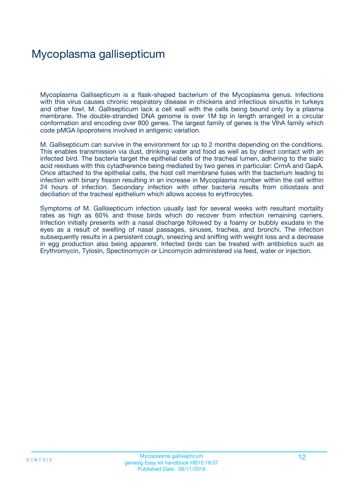## Mycoplasma gallisepticum

Mycoplasma Gallisepticum is a flask-shaped bacterium of the Mycoplasma genus. Infections with this virus causes chronic respiratory disease in chickens and infectious sinusitis in turkeys and other fowl. M. Gallisepticum lack a cell wall with the cells being bound only by a plasma membrane. The double-stranded DNA genome is over 1M bp in length arranged in a circular conformation and encoding over 800 genes. The largest family of genes is the VlhA family which code pMGA lipoproteins involved in antigenic variation.

M. Gallisepticum can survive in the environment for up to 2 months depending on the conditions. This enables transmission via dust, drinking water and food as well as by direct contact with an infected bird. The bacteria target the epithelial cells of the tracheal lumen, adhering to the sialic acid residues with this cytadherence being mediated by two genes in particular: CrmA and GapA. Once attached to the epithelial cells, the host cell membrane fuses with the bacterium leading to infection with binary fission resulting in an increase in Mycoplasma number within the cell within 24 hours of infection. Secondary infection with other bacteria results from ciliostasis and deciliation of the tracheal epithelium which allows access to erythrocytes.

Symptoms of M. Gallisepticum infection usually last for several weeks with resultant mortality rates as high as 60% and those birds which do recover from infection remaining carriers. Infection initially presents with a nasal discharge followed by a foamy or bubbly exudate in the eyes as a result of swelling of nasal passages, sinuses, trachea, and bronchi. The infection subsequently results in a persistent cough, sneezing and sniffing with weight loss and a decrease in egg production also being apparent. Infected birds can be treated with antibiotics such as Erythromycin, Tylosin, Spectinomycin or Lincomycin administered via feed, water or injection.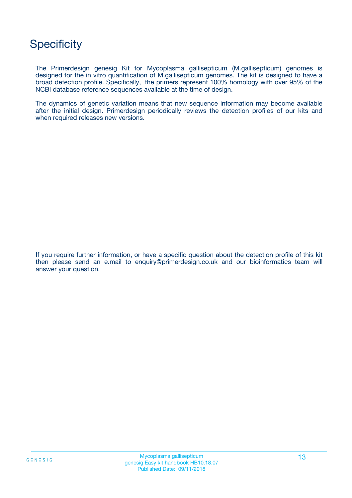## **Specificity**

The Primerdesign genesig Kit for Mycoplasma gallisepticum (M.gallisepticum) genomes is designed for the in vitro quantification of M.gallisepticum genomes. The kit is designed to have a broad detection profile. Specifically, the primers represent 100% homology with over 95% of the NCBI database reference sequences available at the time of design.

The dynamics of genetic variation means that new sequence information may become available after the initial design. Primerdesign periodically reviews the detection profiles of our kits and when required releases new versions.

If you require further information, or have a specific question about the detection profile of this kit then please send an e.mail to enquiry@primerdesign.co.uk and our bioinformatics team will answer your question.